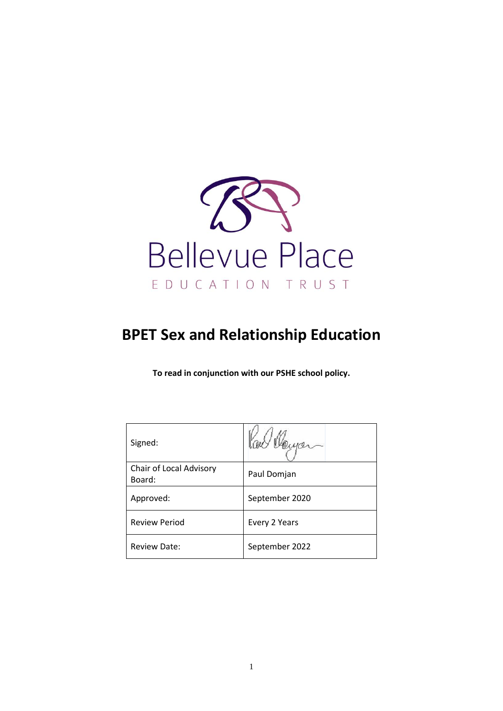

# **BPET Sex and Relationship Education**

**To read in conjunction with our PSHE school policy.**

| Signed:                           |                |
|-----------------------------------|----------------|
| Chair of Local Advisory<br>Board: | Paul Domjan    |
| Approved:                         | September 2020 |
| <b>Review Period</b>              | Every 2 Years  |
| <b>Review Date:</b>               | September 2022 |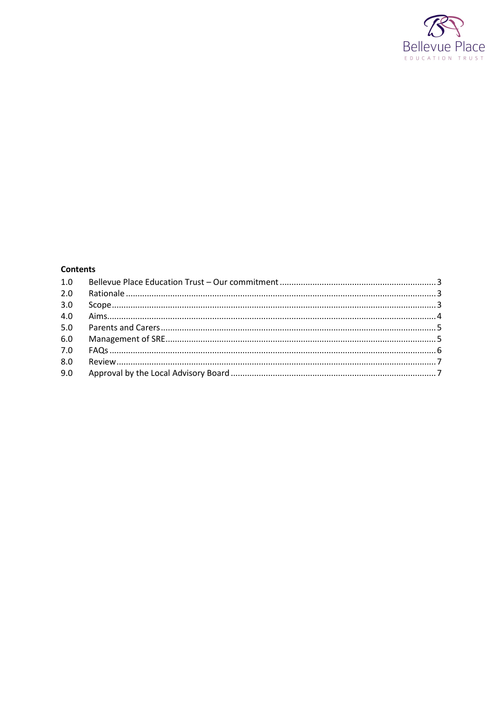

# **Contents**

| 2.0 |  |
|-----|--|
| 3.0 |  |
| 4.0 |  |
| 5.0 |  |
| 6.0 |  |
|     |  |
| 8.0 |  |
|     |  |
|     |  |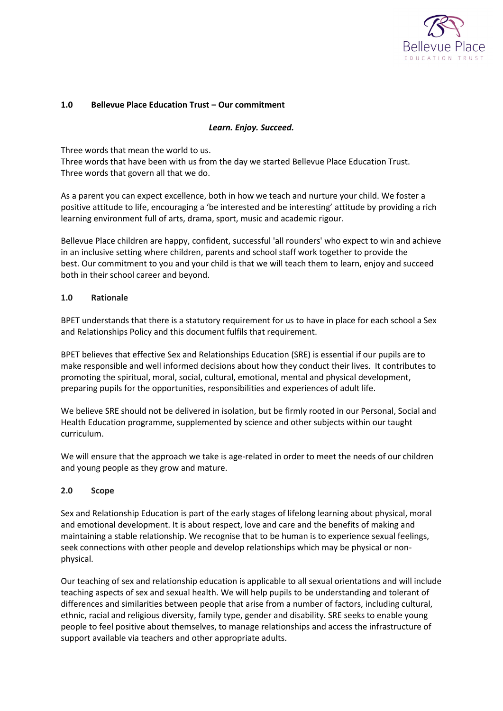

## <span id="page-2-0"></span>**1.0 Bellevue Place Education Trust – Our commitment**

#### *Learn. Enjoy. Succeed.*

Three words that mean the world to us.

Three words that have been with us from the day we started Bellevue Place Education Trust. Three words that govern all that we do.

As a parent you can expect excellence, both in how we teach and nurture your child. We foster a positive attitude to life, encouraging a 'be interested and be interesting' attitude by providing a rich learning environment full of arts, drama, sport, music and academic rigour.

Bellevue Place children are happy, confident, successful 'all rounders' who expect to win and achieve in an inclusive setting where children, parents and school staff work together to provide the best. Our commitment to you and your child is that we will teach them to learn, enjoy and succeed both in their school career and beyond.

#### <span id="page-2-1"></span>**1.0 Rationale**

BPET understands that there is a statutory requirement for us to have in place for each school a Sex and Relationships Policy and this document fulfils that requirement.

BPET believes that effective Sex and Relationships Education (SRE) is essential if our pupils are to make responsible and well informed decisions about how they conduct their lives. It contributes to promoting the spiritual, moral, social, cultural, emotional, mental and physical development, preparing pupils for the opportunities, responsibilities and experiences of adult life.

We believe SRE should not be delivered in isolation, but be firmly rooted in our Personal, Social and Health Education programme, supplemented by science and other subjects within our taught curriculum.

We will ensure that the approach we take is age-related in order to meet the needs of our children and young people as they grow and mature.

## <span id="page-2-2"></span>**2.0 Scope**

Sex and Relationship Education is part of the early stages of lifelong learning about physical, moral and emotional development. It is about respect, love and care and the benefits of making and maintaining a stable relationship. We recognise that to be human is to experience sexual feelings, seek connections with other people and develop relationships which may be physical or nonphysical.

Our teaching of sex and relationship education is applicable to all sexual orientations and will include teaching aspects of sex and sexual health. We will help pupils to be understanding and tolerant of differences and similarities between people that arise from a number of factors, including cultural, ethnic, racial and religious diversity, family type, gender and disability. SRE seeks to enable young people to feel positive about themselves, to manage relationships and access the infrastructure of support available via teachers and other appropriate adults.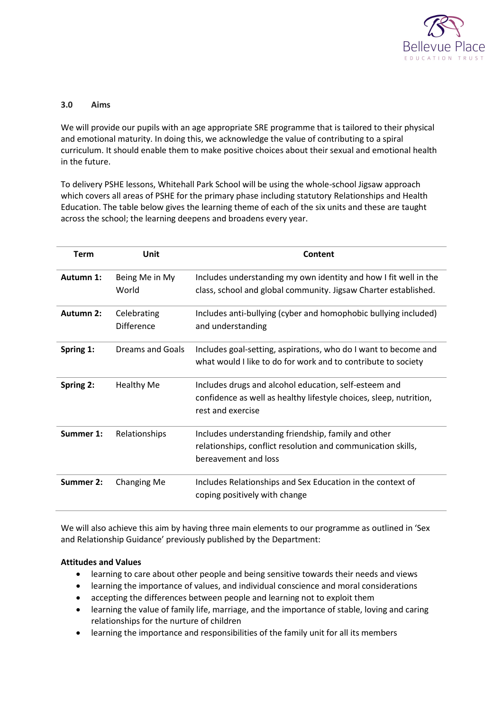

## <span id="page-3-0"></span>**3.0 Aims**

We will provide our pupils with an age appropriate SRE programme that is tailored to their physical and emotional maturity. In doing this, we acknowledge the value of contributing to a spiral curriculum. It should enable them to make positive choices about their sexual and emotional health in the future.

To delivery PSHE lessons, Whitehall Park School will be using the whole-school Jigsaw approach which covers all areas of PSHE for the primary phase including statutory Relationships and Health Education. The table below gives the learning theme of each of the six units and these are taught across the school; the learning deepens and broadens every year.

| <b>Term</b> | Unit                             | Content                                                                                                                                          |
|-------------|----------------------------------|--------------------------------------------------------------------------------------------------------------------------------------------------|
| Autumn 1:   | Being Me in My<br>World          | Includes understanding my own identity and how I fit well in the<br>class, school and global community. Jigsaw Charter established.              |
| Autumn 2:   | Celebrating<br><b>Difference</b> | Includes anti-bullying (cyber and homophobic bullying included)<br>and understanding                                                             |
| Spring 1:   | Dreams and Goals                 | Includes goal-setting, aspirations, who do I want to become and<br>what would I like to do for work and to contribute to society                 |
| Spring 2:   | <b>Healthy Me</b>                | Includes drugs and alcohol education, self-esteem and<br>confidence as well as healthy lifestyle choices, sleep, nutrition,<br>rest and exercise |
| Summer 1:   | Relationships                    | Includes understanding friendship, family and other<br>relationships, conflict resolution and communication skills,<br>bereavement and loss      |
| Summer 2:   | <b>Changing Me</b>               | Includes Relationships and Sex Education in the context of<br>coping positively with change                                                      |

We will also achieve this aim by having three main elements to our programme as outlined in 'Sex and Relationship Guidance' previously published by the Department:

## **Attitudes and Values**

- learning to care about other people and being sensitive towards their needs and views
- learning the importance of values, and individual conscience and moral considerations
- accepting the differences between people and learning not to exploit them
- learning the value of family life, marriage, and the importance of stable, loving and caring relationships for the nurture of children
- learning the importance and responsibilities of the family unit for all its members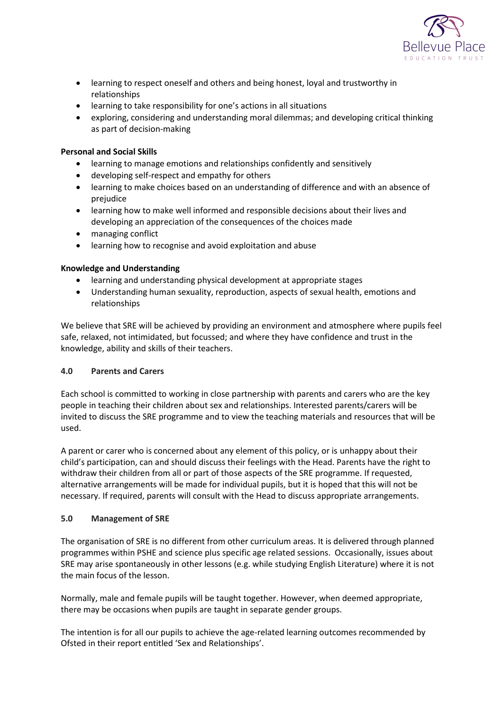

- learning to respect oneself and others and being honest, loyal and trustworthy in relationships
- learning to take responsibility for one's actions in all situations
- exploring, considering and understanding moral dilemmas; and developing critical thinking as part of decision-making

## **Personal and Social Skills**

- learning to manage emotions and relationships confidently and sensitively
- developing self-respect and empathy for others
- learning to make choices based on an understanding of difference and with an absence of prejudice
- learning how to make well informed and responsible decisions about their lives and developing an appreciation of the consequences of the choices made
- managing conflict
- learning how to recognise and avoid exploitation and abuse

## **Knowledge and Understanding**

- learning and understanding physical development at appropriate stages
- Understanding human sexuality, reproduction, aspects of sexual health, emotions and relationships

We believe that SRE will be achieved by providing an environment and atmosphere where pupils feel safe, relaxed, not intimidated, but focussed; and where they have confidence and trust in the knowledge, ability and skills of their teachers.

## <span id="page-4-0"></span>**4.0 Parents and Carers**

Each school is committed to working in close partnership with parents and carers who are the key people in teaching their children about sex and relationships. Interested parents/carers will be invited to discuss the SRE programme and to view the teaching materials and resources that will be used.

A parent or carer who is concerned about any element of this policy, or is unhappy about their child's participation, can and should discuss their feelings with the Head. Parents have the right to withdraw their children from all or part of those aspects of the SRE programme. If requested, alternative arrangements will be made for individual pupils, but it is hoped that this will not be necessary. If required, parents will consult with the Head to discuss appropriate arrangements.

## <span id="page-4-1"></span>**5.0 Management of SRE**

The organisation of SRE is no different from other curriculum areas. It is delivered through planned programmes within PSHE and science plus specific age related sessions. Occasionally, issues about SRE may arise spontaneously in other lessons (e.g. while studying English Literature) where it is not the main focus of the lesson.

Normally, male and female pupils will be taught together. However, when deemed appropriate, there may be occasions when pupils are taught in separate gender groups.

The intention is for all our pupils to achieve the age-related learning outcomes recommended by Ofsted in their report entitled 'Sex and Relationships'.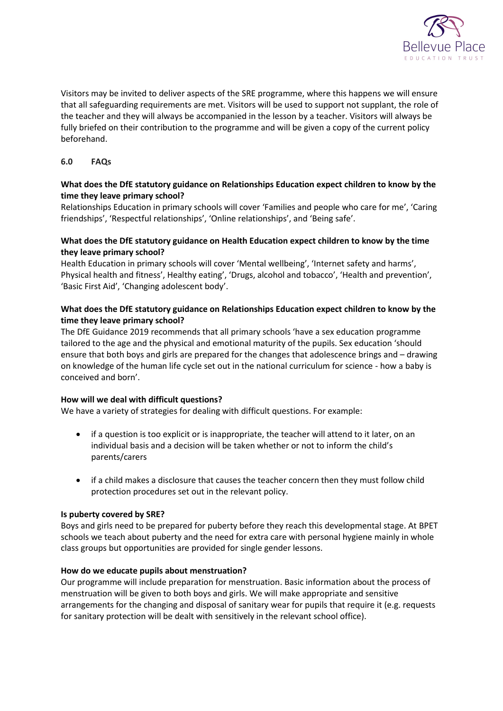

Visitors may be invited to deliver aspects of the SRE programme, where this happens we will ensure that all safeguarding requirements are met. Visitors will be used to support not supplant, the role of the teacher and they will always be accompanied in the lesson by a teacher. Visitors will always be fully briefed on their contribution to the programme and will be given a copy of the current policy beforehand.

## <span id="page-5-0"></span>**6.0 FAQs**

# **What does the DfE statutory guidance on Relationships Education expect children to know by the time they leave primary school?**

Relationships Education in primary schools will cover 'Families and people who care for me', 'Caring friendships', 'Respectful relationships', 'Online relationships', and 'Being safe'.

# **What does the DfE statutory guidance on Health Education expect children to know by the time they leave primary school?**

Health Education in primary schools will cover 'Mental wellbeing', 'Internet safety and harms', Physical health and fitness', Healthy eating', 'Drugs, alcohol and tobacco', 'Health and prevention', 'Basic First Aid', 'Changing adolescent body'.

# **What does the DfE statutory guidance on Relationships Education expect children to know by the time they leave primary school?**

The DfE Guidance 2019 recommends that all primary schools 'have a sex education programme tailored to the age and the physical and emotional maturity of the pupils. Sex education 'should ensure that both boys and girls are prepared for the changes that adolescence brings and – drawing on knowledge of the human life cycle set out in the national curriculum for science - how a baby is conceived and born'.

## **How will we deal with difficult questions?**

We have a variety of strategies for dealing with difficult questions. For example:

- if a question is too explicit or is inappropriate, the teacher will attend to it later, on an individual basis and a decision will be taken whether or not to inform the child's parents/carers
- if a child makes a disclosure that causes the teacher concern then they must follow child protection procedures set out in the relevant policy.

## **Is puberty covered by SRE?**

Boys and girls need to be prepared for puberty before they reach this developmental stage. At BPET schools we teach about puberty and the need for extra care with personal hygiene mainly in whole class groups but opportunities are provided for single gender lessons.

## **How do we educate pupils about menstruation?**

Our programme will include preparation for menstruation. Basic information about the process of menstruation will be given to both boys and girls. We will make appropriate and sensitive arrangements for the changing and disposal of sanitary wear for pupils that require it (e.g. requests for sanitary protection will be dealt with sensitively in the relevant school office).